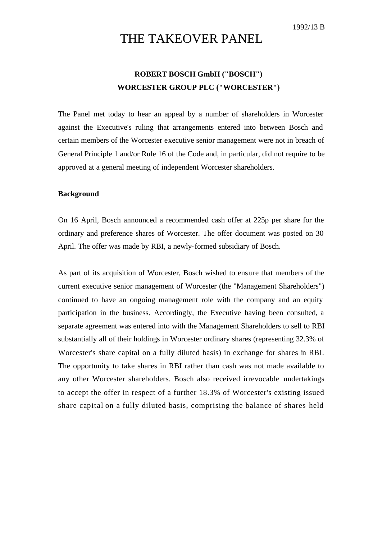1992/13 B

# THE TAKEOVER PANEL

## **ROBERT BOSCH GmbH ("BOSCH") WORCESTER GROUP PLC ("WORCESTER")**

The Panel met today to hear an appeal by a number of shareholders in Worcester against the Executive's ruling that arrangements entered into between Bosch and certain members of the Worcester executive senior management were not in breach of General Principle 1 and/or Rule 16 of the Code and, in particular, did not require to be approved at a general meeting of independent Worcester shareholders.

### **Background**

On 16 April, Bosch announced a recommended cash offer at 225p per share for the ordinary and preference shares of Worcester. The offer document was posted on 30 April. The offer was made by RBI, a newly-formed subsidiary of Bosch.

As part of its acquisition of Worcester, Bosch wished to ensure that members of the current executive senior management of Worcester (the "Management Shareholders") continued to have an ongoing management role with the company and an equity participation in the business. Accordingly, the Executive having been consulted, a separate agreement was entered into with the Management Shareholders to sell to RBI substantially all of their holdings in Worcester ordinary shares (representing 32.3% of Worcester's share capital on a fully diluted basis) in exchange for shares in RBI. The opportunity to take shares in RBI rather than cash was not made available to any other Worcester shareholders. Bosch also received irrevocable undertakings to accept the offer in respect of a further 18.3% of Worcester's existing issued share capital on a fully diluted basis, comprising the balance of shares held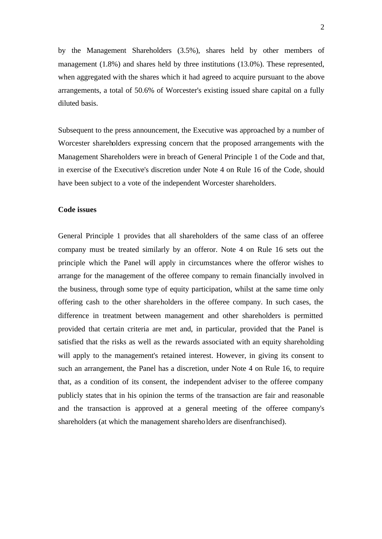by the Management Shareholders (3.5%), shares held by other members of management (1.8%) and shares held by three institutions (13.0%). These represented, when aggregated with the shares which it had agreed to acquire pursuant to the above arrangements, a total of 50.6% of Worcester's existing issued share capital on a fully diluted basis.

Subsequent to the press announcement, the Executive was approached by a number of Worcester shareholders expressing concern that the proposed arrangements with the Management Shareholders were in breach of General Principle 1 of the Code and that, in exercise of the Executive's discretion under Note 4 on Rule 16 of the Code, should have been subject to a vote of the independent Worcester shareholders.

#### **Code issues**

General Principle 1 provides that all shareholders of the same class of an offeree company must be treated similarly by an offeror. Note 4 on Rule 16 sets out the principle which the Panel will apply in circumstances where the offeror wishes to arrange for the management of the offeree company to remain financially involved in the business, through some type of equity participation, whilst at the same time only offering cash to the other shareholders in the offeree company. In such cases, the difference in treatment between management and other shareholders is permitted provided that certain criteria are met and, in particular, provided that the Panel is satisfied that the risks as well as the rewards associated with an equity shareholding will apply to the management's retained interest. However, in giving its consent to such an arrangement, the Panel has a discretion, under Note 4 on Rule 16, to require that, as a condition of its consent, the independent adviser to the offeree company publicly states that in his opinion the terms of the transaction are fair and reasonable and the transaction is approved at a general meeting of the offeree company's shareholders (at which the management shareholders are disenfranchised).